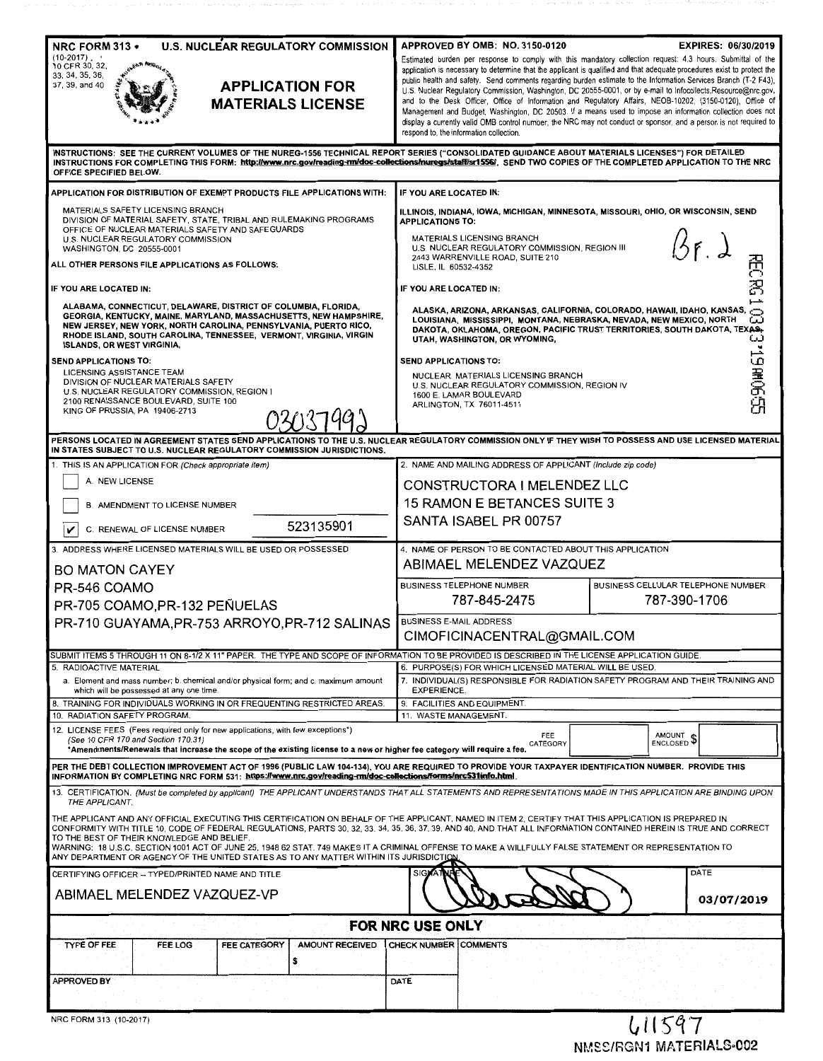| <b>U.S. NUCLEAR REGULATORY COMMISSION</b><br>NRC FORM 313 .<br>(10-2017)<br>10 CFR 30, 32,<br>33, 34, 35, 36,<br>37, 39, and 40<br><b>APPLICATION FOR</b><br><b>MATERIALS LICENSE</b>                                                                                                                                                                                                                                                                                                                                                                                                                                                                                                                                                                                                                                                                                                                                                                                                                                                                                                              | APPROVED BY OMB: NO. 3150-0120<br>public health and safety. Send comments regarding burden estimate to the Information Services Branch (T-2 F43),<br>U.S. Nuclear Regulatory Commission, Washington, DC 20555-0001, or by e-mail to Infocollects.Resource@nrc.gov,<br>and to the Desk Officer, Office of Information and Regulatory Affairs, NEOB-10202, (3150-0120), Office of<br>respond to, the information collection.                                                                                                                                                   | <b>EXPIRES: 06/30/2019</b><br>Estimated burden per response to comply with this mandatory collection request: 4.3 hours. Submittal of the<br>application is necessary to determine that the applicant is qualified and that adequate procedures exist to protect the<br>Management and Budget, Washington, DC 20503. If a means used to impose an information collection does not<br>display a currently valid OMB control number, the NRC may not conduct or sponsor, and a person is not required to |
|----------------------------------------------------------------------------------------------------------------------------------------------------------------------------------------------------------------------------------------------------------------------------------------------------------------------------------------------------------------------------------------------------------------------------------------------------------------------------------------------------------------------------------------------------------------------------------------------------------------------------------------------------------------------------------------------------------------------------------------------------------------------------------------------------------------------------------------------------------------------------------------------------------------------------------------------------------------------------------------------------------------------------------------------------------------------------------------------------|------------------------------------------------------------------------------------------------------------------------------------------------------------------------------------------------------------------------------------------------------------------------------------------------------------------------------------------------------------------------------------------------------------------------------------------------------------------------------------------------------------------------------------------------------------------------------|--------------------------------------------------------------------------------------------------------------------------------------------------------------------------------------------------------------------------------------------------------------------------------------------------------------------------------------------------------------------------------------------------------------------------------------------------------------------------------------------------------|
| INSTRUCTIONS: SEE THE CURRENT VOLUMES OF THE NUREG-1556 TECHNICAL REPORT SERIES ("CONSOLIDATED GUIDANCE ABOUT MATERIALS LICENSES") FOR DETAILED<br>INSTRUCTIONS FOR COMPLETING THIS FORM: http://www.nrc.gov/reading-mu/doc-collections/nuregs/staft/sr1556/, SEND TWO COPIES OF THE COMPLETED APPLICATION TO THE NRC<br>OFFICE SPECIFIED BELOW.                                                                                                                                                                                                                                                                                                                                                                                                                                                                                                                                                                                                                                                                                                                                                   |                                                                                                                                                                                                                                                                                                                                                                                                                                                                                                                                                                              |                                                                                                                                                                                                                                                                                                                                                                                                                                                                                                        |
| APPLICATION FOR DISTRIBUTION OF EXEMPT PRODUCTS FILE APPLICATIONS WITH:<br>MATERIALS SAFETY LICENSING BRANCH<br>DIVISION OF MATERIAL SAFETY, STATE, TRIBAL AND RULEMAKING PROGRAMS<br>OFFICE OF NUCLEAR MATERIALS SAFETY AND SAFEGUARDS<br>U.S. NUCLEAR REGULATORY COMMISSION<br>WASHINGTON, DC 20555-0001<br>ALL OTHER PERSONS FILE APPLICATIONS AS FOLLOWS:<br>IF YOU ARE LOCATED IN:<br>ALABAMA, CONNECTICUT, DELAWARE, DISTRICT OF COLUMBIA, FLORIDA,<br>GEORGIA, KENTUCKY, MAINE, MARYLAND, MASSACHUSETTS, NEW HAMPSHIRE,<br>NEW JERSEY, NEW YORK, NORTH CAROLINA, PENNSYLVANIA, PUERTO RICO,<br>RHODE ISLAND, SOUTH CAROLINA, TENNESSEE, VERMONT, VIRGINIA, VIRGIN                                                                                                                                                                                                                                                                                                                                                                                                                           | IF YOU ARE LOCATED IN:<br>ILLINOIS, INDIANA, IOWA, MICHIGAN, MINNESOTA, MISSOURI, OHIO, OR WISCONSIN, SEND<br><b>APPLICATIONS TO:</b><br>MATERIALS LICENSING BRANCH<br>U.S. NUCLEAR REGULATORY COMMISSION, REGION III<br>2443 WARRENVILLE ROAD, SUITE 210<br>LISLE, IL 60532-4352<br>IF YOU ARE LOCATED IN:<br>ALASKA, ARIZONA, ARKANSAS, CALIFORNIA, COLORADO, HAWAII, IDAHO, KANSAS,<br>LOUISIANA, MISSISSIPPI, MONTANA, NEBRASKA, NEVADA, NEW MEXICO, NORTH<br>DAKOTA, OKLAHOMA, OREGON, PACIFIC TRUST TERRITORIES, SOUTH DAKOTA, TEXAS.<br>UTAH, WASHINGTON, OR WYOMING, | おごお<br>نین<br>دى                                                                                                                                                                                                                                                                                                                                                                                                                                                                                       |
| <b>ISLANDS, OR WEST VIRGINIA,</b><br><b>SEND APPLICATIONS TO:</b><br>LICENSING ASSISTANCE TEAM<br>DIVISION OF NUCLEAR MATERIALS SAFETY<br>U.S. NUCLEAR REGULATORY COMMISSION, REGION 1<br>2100 RENAISSANCE BOULEVARD, SUITE 100<br>KING OF PRUSSIA, PA 19406-2713                                                                                                                                                                                                                                                                                                                                                                                                                                                                                                                                                                                                                                                                                                                                                                                                                                  | SEND APPLICATIONS TO:<br>NUCLEAR MATERIALS LICENSING BRANCH<br>U.S. NUCLEAR REGULATORY COMMISSION, REGION IV<br>1600 E. LAMAR BOULEVARD<br>ARLINGTON, TX 76011-4511                                                                                                                                                                                                                                                                                                                                                                                                          | <b>1990年5月</b>                                                                                                                                                                                                                                                                                                                                                                                                                                                                                         |
| PERSONS LOCATED IN AGREEMENT STATES SEND APPLICATIONS TO THE U.S. NUCLEAR REGULATORY COMMISSION ONLY IF THEY WISH TO POSSESS AND USE LICENSED MATERIAL<br>IN STATES SUBJECT TO U.S. NUCLEAR REGULATORY COMMISSION JURISDICTIONS.                                                                                                                                                                                                                                                                                                                                                                                                                                                                                                                                                                                                                                                                                                                                                                                                                                                                   |                                                                                                                                                                                                                                                                                                                                                                                                                                                                                                                                                                              |                                                                                                                                                                                                                                                                                                                                                                                                                                                                                                        |
| 1. THIS IS AN APPLICATION FOR (Check appropriate item)<br>A. NEW LICENSE<br><b>B. AMENDMENT TO LICENSE NUMBER</b><br>523135901<br>C. RENEWAL OF LICENSE NUMBER                                                                                                                                                                                                                                                                                                                                                                                                                                                                                                                                                                                                                                                                                                                                                                                                                                                                                                                                     | 2. NAME AND MAILING ADDRESS OF APPLICANT (Include zip code)<br>CONSTRUCTORA I MELENDEZ LLC<br>15 RAMON E BETANCES SUITE 3<br>SANTA ISABEL PR 00757                                                                                                                                                                                                                                                                                                                                                                                                                           |                                                                                                                                                                                                                                                                                                                                                                                                                                                                                                        |
| 3. ADDRESS WHERE LICENSED MATERIALS WILL BE USED OR POSSESSED<br><b>BO MATON CAYEY</b>                                                                                                                                                                                                                                                                                                                                                                                                                                                                                                                                                                                                                                                                                                                                                                                                                                                                                                                                                                                                             | 4. NAME OF PERSON TO BE CONTACTED ABOUT THIS APPLICATION<br>ABIMAEL MELENDEZ VAZQUEZ                                                                                                                                                                                                                                                                                                                                                                                                                                                                                         |                                                                                                                                                                                                                                                                                                                                                                                                                                                                                                        |
| PR-546 COAMO<br>PR-705 COAMO, PR-132 PEÑUELAS<br>PR-710 GUAYAMA, PR-753 ARROYO, PR-712 SALINAS                                                                                                                                                                                                                                                                                                                                                                                                                                                                                                                                                                                                                                                                                                                                                                                                                                                                                                                                                                                                     | <b>BUSINESS TELEPHONE NUMBER</b><br>787-845-2475<br><b>BUSINESS E-MAIL ADDRESS</b><br>CIMOFICINACENTRAL@GMAIL.COM                                                                                                                                                                                                                                                                                                                                                                                                                                                            | BUSINESS CELLULAR TELEPHONE NUMBER<br>787-390-1706                                                                                                                                                                                                                                                                                                                                                                                                                                                     |
| SUBMIT ITEMS 5 THROUGH 11 ON 8-1/2 X 11" PAPER. THE TYPE AND SCOPE OF INFORMATION TO BE PROVIDED IS DESCRIBED IN THE LICENSE APPLICATION GUIDE.                                                                                                                                                                                                                                                                                                                                                                                                                                                                                                                                                                                                                                                                                                                                                                                                                                                                                                                                                    |                                                                                                                                                                                                                                                                                                                                                                                                                                                                                                                                                                              |                                                                                                                                                                                                                                                                                                                                                                                                                                                                                                        |
| 5. RADIOACTIVE MATERIAL<br>a. Element and mass number; b. chemical and/or physical form; and c. maximum amount<br>which will be possessed at any one time.<br>8. TRAINING FOR INDIVIDUALS WORKING IN OR FREQUENTING RESTRICTED AREAS                                                                                                                                                                                                                                                                                                                                                                                                                                                                                                                                                                                                                                                                                                                                                                                                                                                               | 6. PURPOSE(S) FOR WHICH LICENSED MATERIAL WILL BE USED.<br>7. INDIVIDUAL(S) RESPONSIBLE FOR RADIATION SAFETY PROGRAM AND THEIR TRAINING AND<br><b>EXPERIENCE.</b><br>9. FACILITIES AND EQUIPMENT.                                                                                                                                                                                                                                                                                                                                                                            |                                                                                                                                                                                                                                                                                                                                                                                                                                                                                                        |
| 10. RADIATION SAFETY PROGRAM.<br>12. LICENSE FEES (Fees required only for new applications, with few exceptions*)<br>(See 10 CFR 170 and Section 170.31)<br>*Amendments/Renewals that increase the scope of the existing license to a new or higher fee category will require a fee.                                                                                                                                                                                                                                                                                                                                                                                                                                                                                                                                                                                                                                                                                                                                                                                                               | 11. WASTE MANAGEMENT.<br>FEE<br>CATEGORY                                                                                                                                                                                                                                                                                                                                                                                                                                                                                                                                     | AMOUNT<br>ENCLOSED <sup>\$</sup>                                                                                                                                                                                                                                                                                                                                                                                                                                                                       |
| PER THE DEBT COLLECTION IMPROVEMENT ACT OF 1996 (PUBLIC LAW 104-134), YOU ARE REQUIRED TO PROVIDE YOUR TAXPAYER IDENTIFICATION NUMBER.  PROVIDE THIS<br>INFORMATION BY COMPLETING NRC FORM 531: https://www.nrc.gov/reading-mu/doc-collections/forms/mrc531info.html<br>13. CERTIFICATION. (Must be completed by applicant) THE APPLICANT UNDERSTANDS THAT ALL STATEMENTS AND REPRESENTATIONS MADE IN THIS APPLICATION ARE BINDING UPON<br>THE APPLICANT.<br>THE APPLICANT AND ANY OFFICIAL EXECUTING THIS CERTIFICATION ON BEHALF OF THE APPLICANT, NAMED IN ITEM 2, CERTIFY THAT THIS APPLICATION IS PREPARED IN<br>CONFORMITY WITH TITLE 10, CODE OF FEDERAL REGULATIONS, PARTS 30, 32, 33, 34, 35, 36, 37, 39, AND 40, AND THAT ALL INFORMATION CONTAINED HEREIN IS TRUE AND CORRECT<br>TO THE BEST OF THEIR KNOWLEDGE AND BELIEF.<br>WARNING: 18 U.S.C. SECTION 1001 ACT OF JUNE 25, 1948 62 STAT. 749 MAKES IT A CRIMINAL OFFENSE TO MAKE A WILLFULLY FALSE STATEMENT OR REPRESENTATION TO<br>ANY DEPARTMENT OR AGENCY OF THE UNITED STATES AS TO ANY MATTER WITHIN ITS JURISDICT <u>ION</u> |                                                                                                                                                                                                                                                                                                                                                                                                                                                                                                                                                                              |                                                                                                                                                                                                                                                                                                                                                                                                                                                                                                        |
| CERTIFYING OFFICER -- TYPED/PRINTED NAME AND TITLE<br>ABIMAEL MELENDEZ VAZQUEZ-VP                                                                                                                                                                                                                                                                                                                                                                                                                                                                                                                                                                                                                                                                                                                                                                                                                                                                                                                                                                                                                  |                                                                                                                                                                                                                                                                                                                                                                                                                                                                                                                                                                              | DATE<br>03/07/2019                                                                                                                                                                                                                                                                                                                                                                                                                                                                                     |
| FOR NRC USE ONLY                                                                                                                                                                                                                                                                                                                                                                                                                                                                                                                                                                                                                                                                                                                                                                                                                                                                                                                                                                                                                                                                                   |                                                                                                                                                                                                                                                                                                                                                                                                                                                                                                                                                                              |                                                                                                                                                                                                                                                                                                                                                                                                                                                                                                        |
| <b>FEE CATEGORY</b><br>AMOUNT RECEIVED<br>TYPE OF FEE<br>FEE LOG<br>s<br><b>APPROVED BY</b>                                                                                                                                                                                                                                                                                                                                                                                                                                                                                                                                                                                                                                                                                                                                                                                                                                                                                                                                                                                                        | <b>CHECK NUMBER COMMENTS</b><br>DATE                                                                                                                                                                                                                                                                                                                                                                                                                                                                                                                                         |                                                                                                                                                                                                                                                                                                                                                                                                                                                                                                        |
| NRC FORM 313 (10-2017)                                                                                                                                                                                                                                                                                                                                                                                                                                                                                                                                                                                                                                                                                                                                                                                                                                                                                                                                                                                                                                                                             |                                                                                                                                                                                                                                                                                                                                                                                                                                                                                                                                                                              | 411597                                                                                                                                                                                                                                                                                                                                                                                                                                                                                                 |

NMSS/RGN1 MATERIALS-002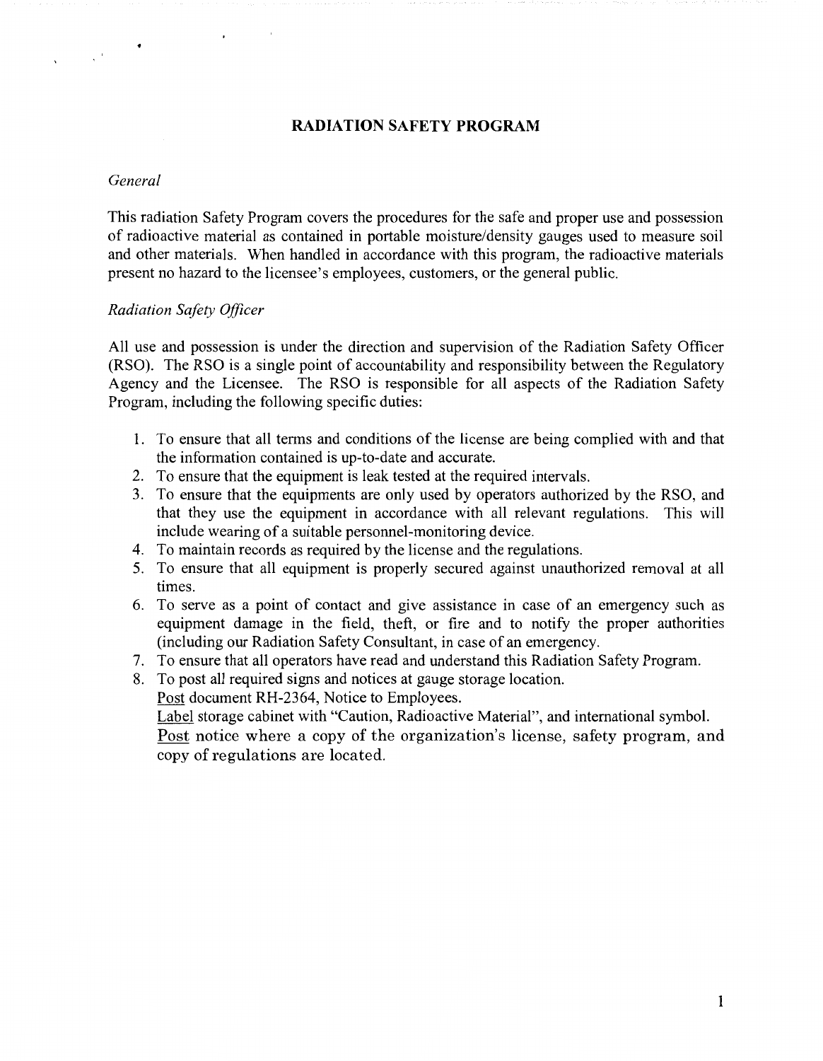### **RADIATION SAFETY PROGRAM**

#### *General*

 $\label{eq:2.1} \frac{1}{\sqrt{2\pi}}\int_{0}^{\frac{1}{2}}\frac{dx}{\sqrt{2\pi}}\,dx$ 

This radiation Safety Program covers the procedures for the safe and proper use and possession of radioactive material as contained in portable moisture/density gauges used to measure soil and other materials. When handled in accordance with this program, the radioactive materials present no hazard to the licensee's employees, customers, or the general public.

#### *Radiation Safety Officer*

All use and possession is under the direction and supervision of the Radiation Safety Officer (RSO). The RSO is a single point of accountability and responsibility between the Regulatory Agency and the Licensee. The RSO is responsible for all aspects of the Radiation Safety Program, including the following specific duties:

- 1. To ensure that all terms and conditions of the license are being complied with and that the information contained is up-to-date and accurate.
- 2. To ensure that the equipment is leak tested at the required intervals.
- 3. To ensure that the equipments are only used by operators authorized by the RSO, and that they use the equipment in accordance with all relevant regulations. This will include wearing of a suitable personnel-monitoring device.
- 4. To maintain records as required by the license and the regulations.
- 5. To ensure that all equipment is properly secured against unauthorized removal at all times.
- 6. To serve as a point of contact and give assistance in case of an emergency such as equipment damage in the field, theft, or fire and to notify the proper authorities (including our Radiation Safety Consultant, in case of an emergency.
- 7. To ensure that all operators have read and understand this Radiation Safety Program.

8. To post all required signs and notices at gauge storage location.

Post document RH-2364, Notice to Employees.

Label storage cabinet with "Caution, Radioactive Material", and international symbol. Post notice where a copy of the organization's license, safety program, and copy of regulations are located.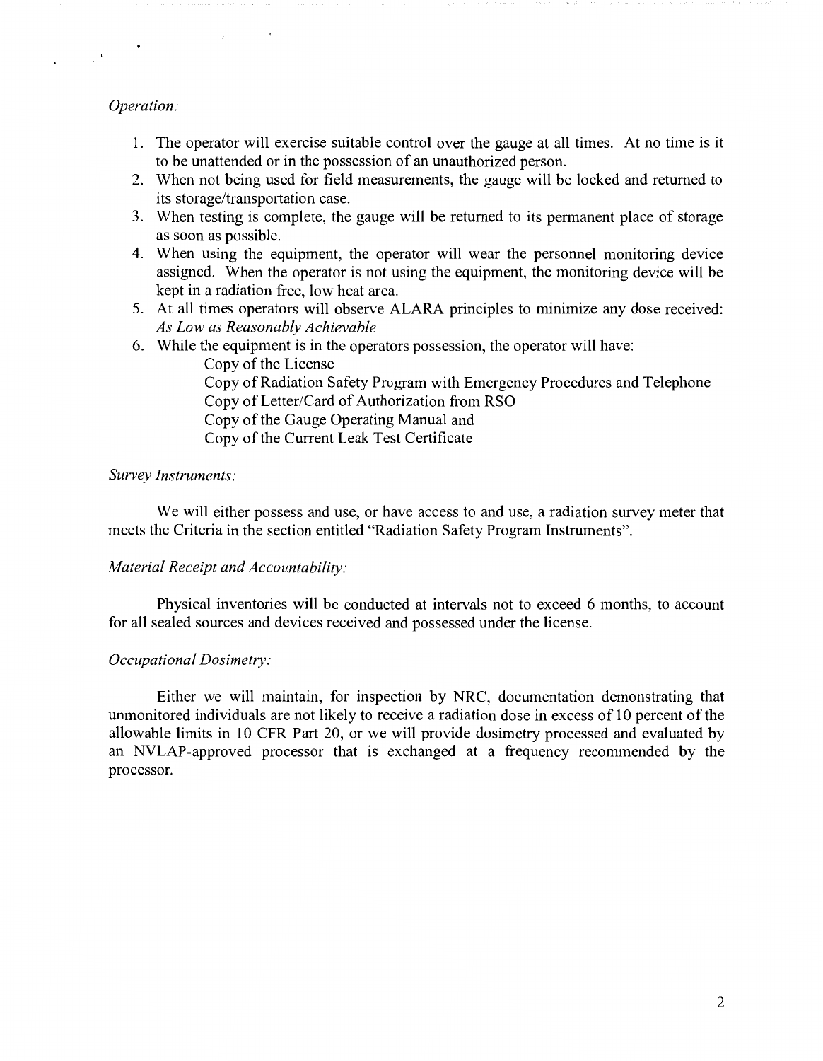#### *Operation:*

 $\frac{1}{\sqrt{2}}\int_{0}^{\sqrt{2}}\frac{1}{\sqrt{2}}\left(\frac{1}{2}\right)^{2}dx$ 

- 1. The operator will exercise suitable control over the gauge at all times. At no time is it to be unattended or in the possession of an unauthorized person.
- 2. When not being used for field measurements, the gauge will be locked and returned to its storage/transportation case.
- 3. When testing is complete, the gauge will be returned to its permanent place of storage as soon as possible.
- 4. When using the equipment, the operator will wear the personnel monitoring device assigned. When the operator is not using the equipment, the monitoring device will be kept in a radiation free, low heat area.
- 5. At all times operators will observe ALARA principles to minimize any dose received: *As Low as Reasonably Achievable*
- 6. While the equipment is in the operators possession, the operator will have:

Copy of the License

Copy of Radiation Safety Program with Emergency Procedures and Telephone Copy of Letter/Card of Authorization from RSO

Copy of the Gauge Operating Manual and

Copy of the Current Leak Test Certificate

#### *Survey Instruments:*

We will either possess and use, or have access to and use, a radiation survey meter that meets the Criteria in the section entitled "Radiation Safety Program Instruments".

#### *Material Receipt and Accountability:*

Physical inventories will be conducted at intervals not to exceed 6 months, to account for all sealed sources and devices received and possessed under the license.

#### *Occupational Dosimetry:*

Either we will maintain, for inspection by NRC, documentation demonstrating that unmonitored individuals are not likely to receive a radiation dose in excess of 10 percent of the allowable limits in 10 CFR Part 20, or we will provide dosimetry processed and evaluated by an NVLAP-approved processor that is exchanged at a frequency recommended by the processor.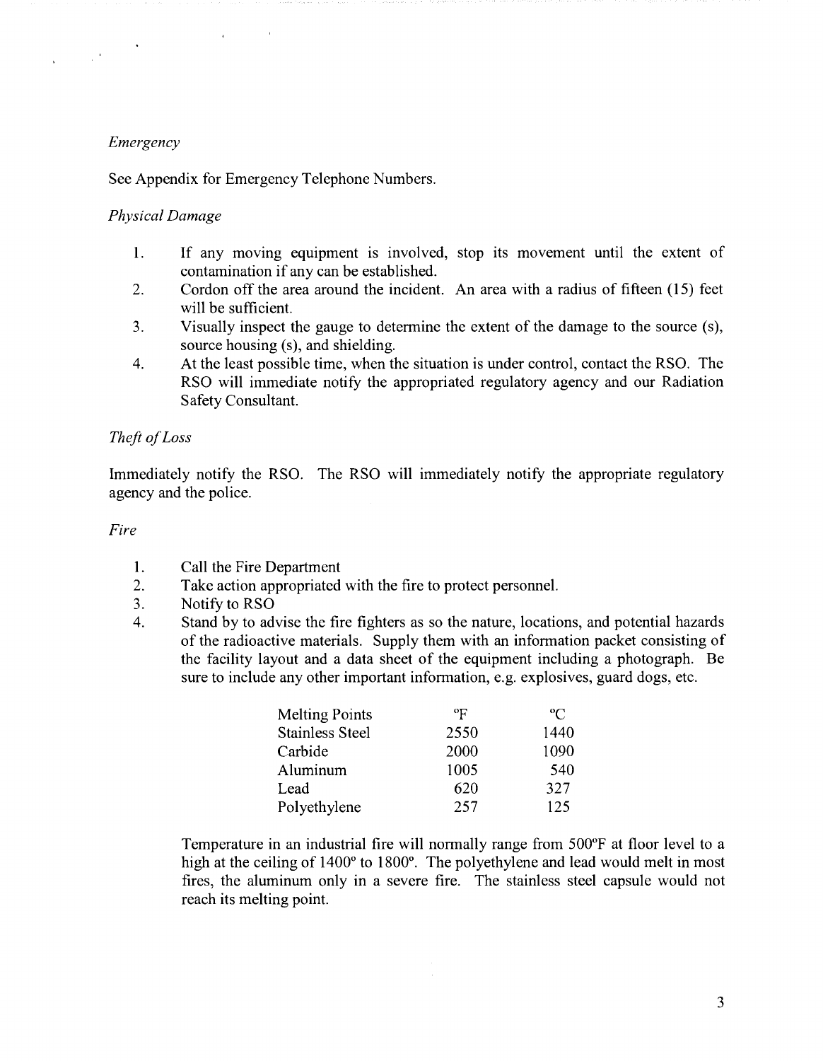## *Emergency*

 $\label{eq:2.1} \frac{1}{\sqrt{2}}\int_{\mathbb{R}^{2}}\frac{1}{\sqrt{2}}\left(\frac{1}{\sqrt{2}}\right)^{2}dx\leq\frac{1}{2}\int_{\mathbb{R}^{2}}\frac{1}{\sqrt{2}}\left(\frac{1}{\sqrt{2}}\right)^{2}dx$ 

See Appendix for Emergency Telephone Numbers.

## *Physical Damage*

- 1. If any moving equipment is involved, stop its movement until the extent of contamination if any can be established.
- 2. Cordon off the area around the incident. An area with a radius of fifteen (15) feet will be sufficient.
- 3. Visually inspect the gauge to determine the extent of the damage to the source (s), source housing (s), and shielding.
- 4. At the least possible time, when the situation is under control, contact the RSO. The RSO will immediate notify the appropriated regulatory agency and our Radiation Safety Consultant.

# *Theft of Loss*

Immediately notify the RSO. The RSO will immediately notify the appropriate regulatory agency and the police.

### *Fire*

- 1. Call the Fire Department
- 2. Take action appropriated with the fire to protect personnel.
- 3. Notify to RSO
- 4. Stand by to advise the fire fighters as so the nature, locations, and potential hazards of the radioactive materials. Supply them with an information packet consisting of the facility layout and a data sheet of the equipment including a photograph. Be sure to include any other important information, e.g. explosives, guard dogs, etc.

| <b>Melting Points</b>  | $\mathrm{^{o}F}$ | $^{\rm o}C$ |
|------------------------|------------------|-------------|
| <b>Stainless Steel</b> | 2550             | 1440        |
| Carbide                | 2000             | 1090        |
| Aluminum               | 1005             | 540         |
| Lead                   | 620              | 327         |
| Polyethylene           | 257              | 125         |

Temperature in an industrial fire will normally range from 500°F at floor level to a high at the ceiling of 1400° to 1800°. The polyethylene and lead would melt in most fires, the aluminum only in a severe fire. The stainless steel capsule would not reach its melting point.

 $\mathcal{L}_{\mathrm{in}}$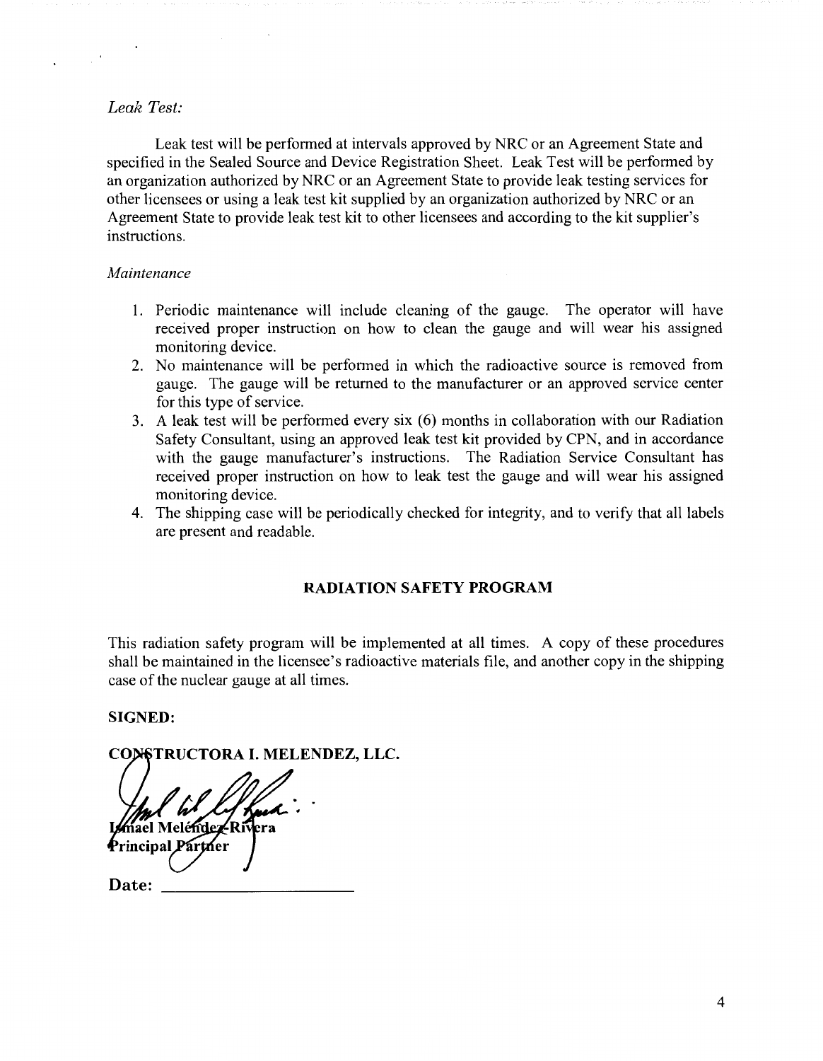### *Leak Test:*

Leak test will be performed at intervals approved by NRC or an Agreement State and specified in the Sealed Source and Device Registration Sheet. Leak Test will be performed by an organization authorized by NRC or an Agreement State to provide leak testing services for other licensees or using a leak test kit supplied by an organization authorized by NRC or an Agreement State to provide leak test kit to other licensees and according to the kit supplier's instructions.

#### *Maintenance*

- 1. Periodic maintenance will include cleaning of the gauge. The operator will have received proper instruction on how to clean the gauge and will wear his assigned monitoring device.
- 2. No maintenance will be performed in which the radioactive source is removed from gauge. The gauge will be returned to the manufacturer or an approved service center for this type of service.
- 3. A leak test will be performed every six (6) months in collaboration with our Radiation Safety Consultant, using an approved leak test kit provided by CPN, and in accordance with the gauge manufacturer's instructions. The Radiation Service Consultant has received proper instruction on how to leak test the gauge and will wear his assigned monitoring device.
- 4. The shipping case will be periodically checked for integrity, and to verify that all labels are present and readable.

### **RADIATION SAFETY PROGRAM**

This radiation safety program will be implemented at all times. A copy of these procedures shall be maintained in the licensee's radioactive materials file, and another copy in the shipping case of the nuclear gauge at all times.

### **SIGNED:**

# CONSTRUCTORA I. MELENDEZ, LLC.

ael Meléndez-Riv **Principal P** 

**Date:**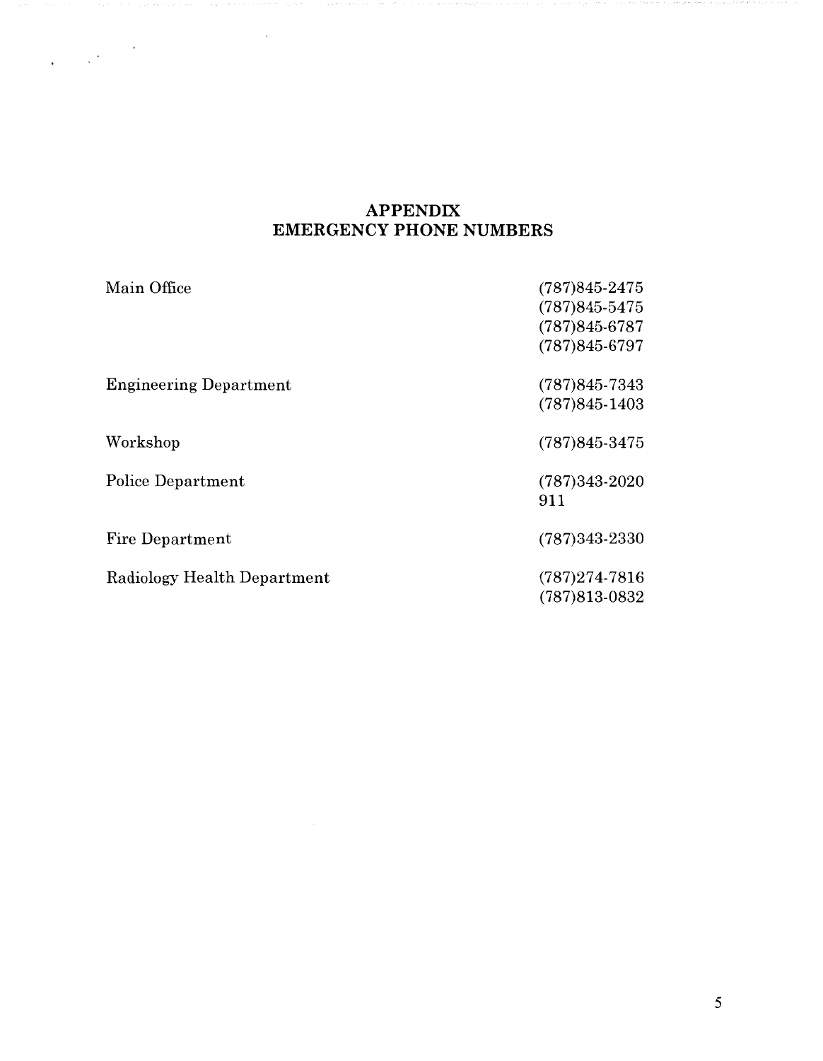# **APPENDIX EMERGENCY PHONE NUMBERS**

 $\sim 10^{-4}$ 

| Main Office                   | $(787)845 - 2475$<br>$(787)845 - 5475$<br>$(787)845-6787$<br>$(787)845-6797$ |
|-------------------------------|------------------------------------------------------------------------------|
|                               |                                                                              |
| <b>Engineering Department</b> | $(787)845-7343$                                                              |
|                               | $(787)845 - 1403$                                                            |
| Workshop                      | $(787)845 - 3475$                                                            |
| Police Department             | $(787)343-2020$                                                              |
|                               | 911                                                                          |
| Fire Department               | $(787)343 - 2330$                                                            |
| Radiology Health Department   | $(787)274-7816$                                                              |
|                               | $(787)813-0832$                                                              |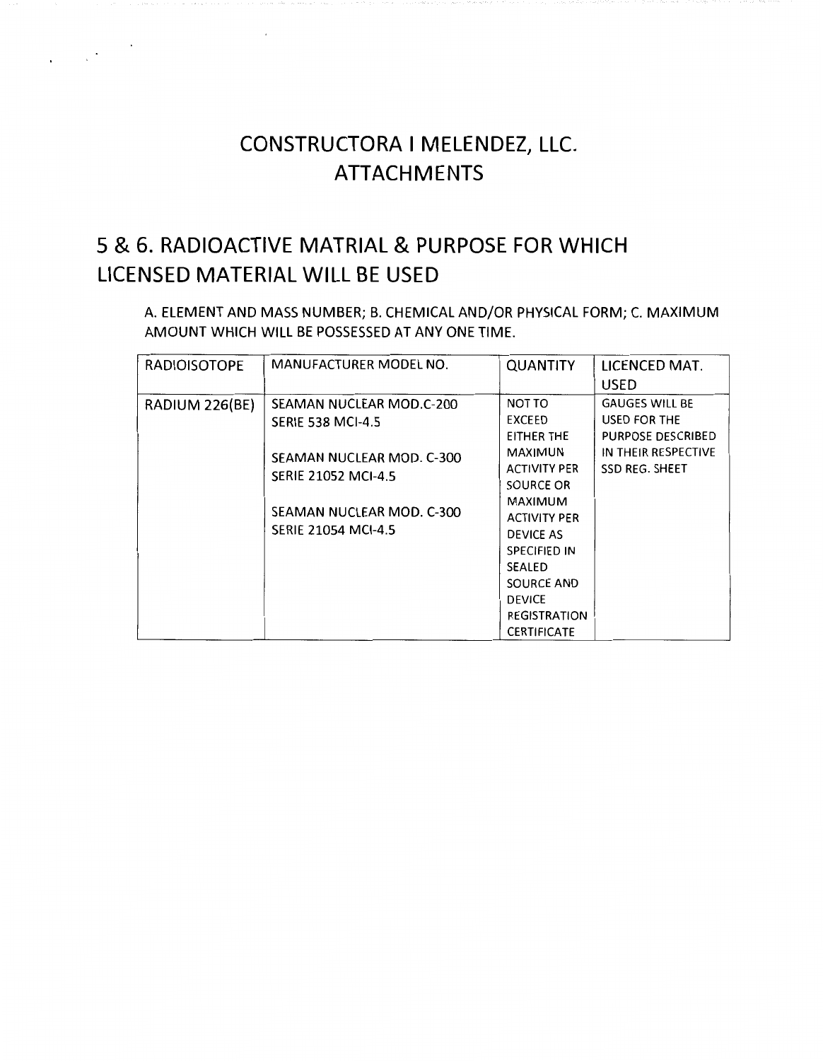# **CONSTRUCTORA I MELENDEZ, LLC. ATTACHMENTS**

# 5 & **6. RADIOACTIVE MATRIAL & PURPOSE FOR WHICH LICENSED MATERIAL WILL BE USED**

 $\label{eq:1} \frac{1}{\sqrt{2\pi}}\frac{1}{\sqrt{2\pi}}\left(\frac{1}{\sqrt{2\pi}}\right)^{1/2}$ 

A. ELEMENT AND MASS NUMBER; B. CHEMICAL AND/OR PHYSICAL FORM; C. MAXIMUM AMOUNT WHICH WILL BE POSSESSED AT ANY ONE TIME.

| <b>RADIOISOTOPE</b> | <b>MANUFACTURER MODEL NO.</b>                                                                                                                                              | <b>QUANTITY</b>                                                                                                                                                                                                                                                | LICENCED MAT.<br><b>USED</b>                                                                                      |
|---------------------|----------------------------------------------------------------------------------------------------------------------------------------------------------------------------|----------------------------------------------------------------------------------------------------------------------------------------------------------------------------------------------------------------------------------------------------------------|-------------------------------------------------------------------------------------------------------------------|
| RADIUM 226(BE)      | SEAMAN NUCLEAR MOD.C-200<br><b>SERIE 538 MCI-4.5</b><br>SEAMAN NUCLEAR MOD. C-300<br><b>SERIE 21052 MCI-4.5</b><br>SEAMAN NUCLEAR MOD. C-300<br><b>SERIE 21054 MCI-4.5</b> | NOT TO<br>EXCEED<br>EITHER THE<br><b>MAXIMUN</b><br><b>ACTIVITY PER</b><br>SOURCE OR<br><b>MAXIMUM</b><br><b>ACTIVITY PER</b><br>DEVICE AS<br><b>SPECIFIED IN</b><br><b>SEALED</b><br>SOURCE AND<br><b>DEVICE</b><br><b>REGISTRATION</b><br><b>CERTIFICATE</b> | <b>GAUGES WILL BE</b><br>USED FOR THE<br><b>PURPOSE DESCRIBED</b><br>IN THEIR RESPECTIVE<br><b>SSD REG. SHEET</b> |